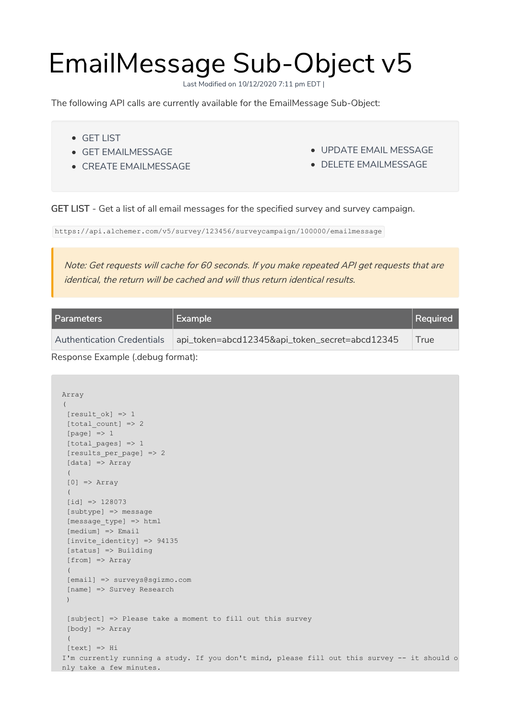## EmailMessage Sub-Object v5

Last Modified on 10/12/2020 7:11 pm EDT |

The following API calls are currently available for the EmailMessage Sub-Object:

- GET LIST
- GET EMAILMESSAGE
- **CREATE EMAILMESSAGE**
- UPDATE EMAIL MESSAGE
- DELETE EMAILMESSAGE

GET LIST - Get a list of all email messages for the specified survey and survey campaign.

https://api.alchemer.com/v5/survey/123456/surveycampaign/100000/emailmessage

Note: Get requests will cache for 60 seconds. If you make repeated API get requests that are identical, the return will be cached and will thus return identical results.

| l Parameters                      | <b>Example</b>                                 | Required |
|-----------------------------------|------------------------------------------------|----------|
| <b>Authentication Credentials</b> | api_token=abcd12345&api_token_secret=abcd12345 | True     |
| Docnanca Evample / dabug formati  |                                                |          |

Response Example (.debug format):

```
Array
\left([result ok] => 1
[total count] => 2
 [page] \Rightarrow 1[total pages] => 1
 [results_per_page] => 2
 [data] => Array
 (
 [0] => Array
 (
 [id] => 128073
 [subtype] => message
 [message_type] => html
 [medium] => Email
 [invite identity] => 94135
 [status] => Building
 [from] => Array
 (
 [email] => surveys@sgizmo.com
 [name] => Survey Research
 \lambda[subject] => Please take a moment to fill out this survey
 [body] => Array
 \left([text] => Hi
I'm currently running a study. If you don't mind, please fill out this survey -- it should o
nly take a few minutes.
```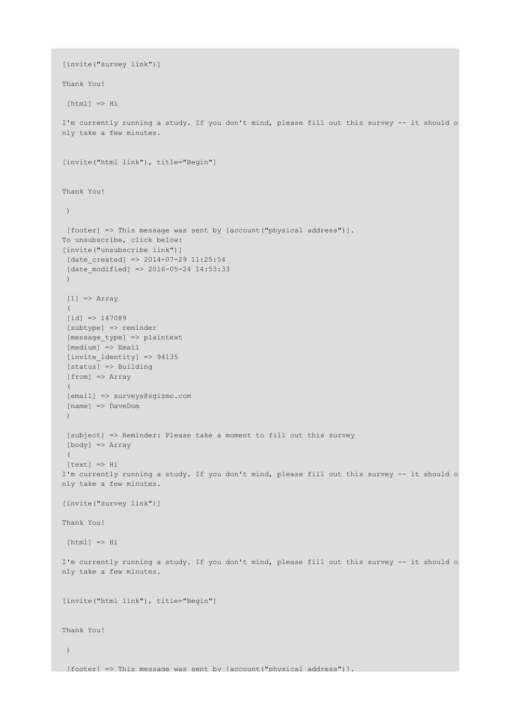```
[invite("survey link")]
Thank You!
[html] \Rightarrow HiI'm currently running a study. If you don't mind, please fill out this survey -- it should o
nly take a few minutes.
[invite("html link"), title="Begin"]
Thank You!
 )
[footer] => This message was sent by [account("physical address")].
To unsubscribe, click below:
[invite("unsubscribe link")]
[date\ created] => 2014-07-29 11:25:54
[date modified] \Rightarrow 2016-05-24 14:53:33)
[1] => Array
 (
 [id] => 147089
 [subtype] => reminder
 [message_type] => plaintext
 [medium] => Email
 [invite_identity] => 94135
 [status] => Building
 [from] => Array
 \left([email] => surveys@sgizmo.com
 [name] => DaveDom
 )
 [subject] => Reminder: Please take a moment to fill out this survey
 [body] => Array
 (
 [text] => Hi
I'm currently running a study. If you don't mind, please fill out this survey -- it should o
nly take a few minutes.
[invite("survey link")]
Thank You!
[html] => HiI'm currently running a study. If you don't mind, please fill out this survey -- it should o
nly take a few minutes.
[invite("html link"), title="Begin"]
Thank You!
 )
[footer] => This message was sent by [account('physical address'')].
```
nly take a few minutes.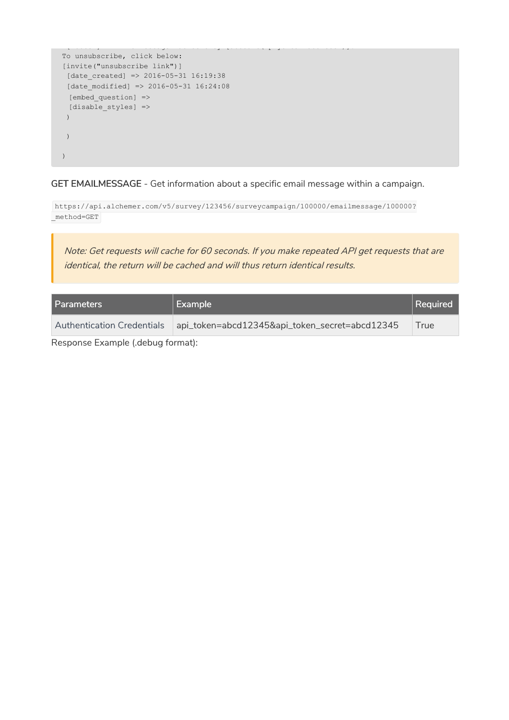```
[footer] => This message was sent by [account("physical address")].
To unsubscribe, click below:
[invite("unsubscribe link")]
[date_created] => 2016-05-31 16:19:38
[date modified] \Rightarrow 2016-05-31 16:24:08[embed_question] =>
 [disable_styles] =>
 )
 )
)
```
GET EMAILMESSAGE - Get information about a specific email message within a campaign.

https://api.alchemer.com/v5/survey/123456/surveycampaign/100000/emailmessage/100000? \_method=GET

Note: Get requests will cache for 60 seconds. If you make repeated API get requests that are identical, the return will be cached and will thus return identical results.

| Parameters                        | <b>Example</b>                                 | Required |
|-----------------------------------|------------------------------------------------|----------|
| <b>Authentication Credentials</b> | api_token=abcd12345&api_token_secret=abcd12345 | True     |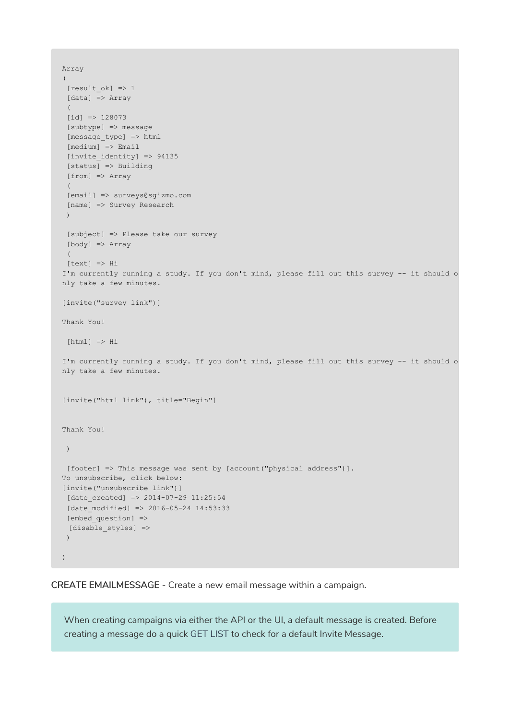```
Array
(
 [result_ok] => 1
[data] => Array
 (
 id] => 128073
 [subtype] => message
 [message_type] => html
 [medium] \Rightarrow Email\lceilinvite identity\rceil => 94135
 [status] => Building
 [from] => Array
 (
 [email] => surveys@sgizmo.com
 [name] => Survey Research
 )
 [subject] => Please take our survey
 [body] => Array
 \left([text] => Hi
I'm currently running a study. If you don't mind, please fill out this survey -- it should o
nly take a few minutes.
[invite("survey link")]
Thank You!
[html] => HiI'm currently running a study. If you don't mind, please fill out this survey -- it should o
nly take a few minutes.
[invite("html link"), title="Begin"]
Thank You!
)
[footer] => This message was sent by [account("physical address")].
To unsubscribe, click below:
[invite("unsubscribe link")]
[date created] => 2014-07-29 11:25:54
[date modified] \Rightarrow 2016-05-24 14:53:33[embed_question] =>
 [disable styles] =>
 )
)
```
CREATE EMAILMESSAGE - Create a new email message within a campaign.

When creating campaigns via either the API or the UI, a default message is created. Before creating a message do a quick GET LIST to check for a default Invite Message.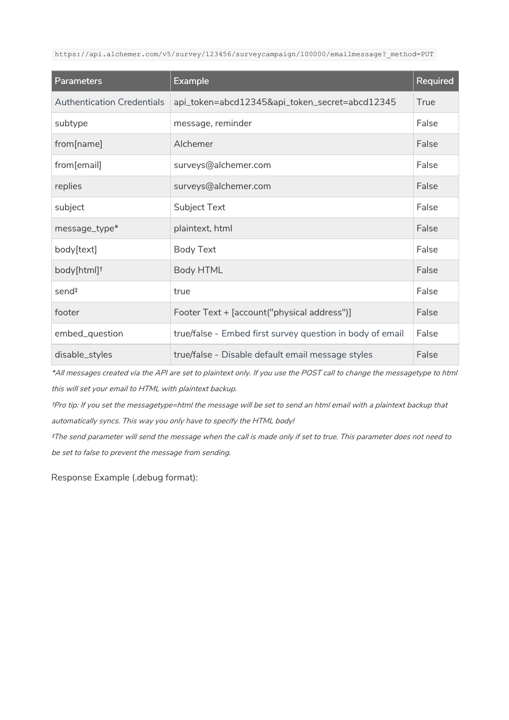https://api.alchemer.com/v5/survey/123456/surveycampaign/100000/emailmessage? method=PUT

| <b>Parameters</b>                 | <b>Example</b>                                            | Required |
|-----------------------------------|-----------------------------------------------------------|----------|
| <b>Authentication Credentials</b> | api_token=abcd12345&api_token_secret=abcd12345            | True     |
| subtype                           | message, reminder                                         | False    |
| from[name]                        | Alchemer                                                  | False    |
| from[email]                       | surveys@alchemer.com                                      | False    |
| replies                           | surveys@alchemer.com                                      | False    |
| subject                           | Subject Text                                              | False    |
| message_type*                     | plaintext, html                                           | False    |
| body[text]                        | <b>Body Text</b>                                          | False    |
| body[html] <sup>†</sup>           | <b>Body HTML</b>                                          | False    |
| send <sup>‡</sup>                 | true                                                      | False    |
| footer                            | Footer Text + [account("physical address")]               | False    |
| embed_question                    | true/false - Embed first survey question in body of email | False    |
| disable_styles                    | true/false - Disable default email message styles         | False    |

\*All messages created via the API are set to plaintext only. If you use the POST call to change the messagetype to html this will set your email to HTML with plaintext backup.

†Pro tip: If you set the messagetype=html the message will be set to send an html email with <sup>a</sup> plaintext backup that automatically syncs. This way you only have to specify the HTML body!

‡The send parameter will send the message when the call is made only if set to true. This parameter does not need to be set to false to prevent the message from sending.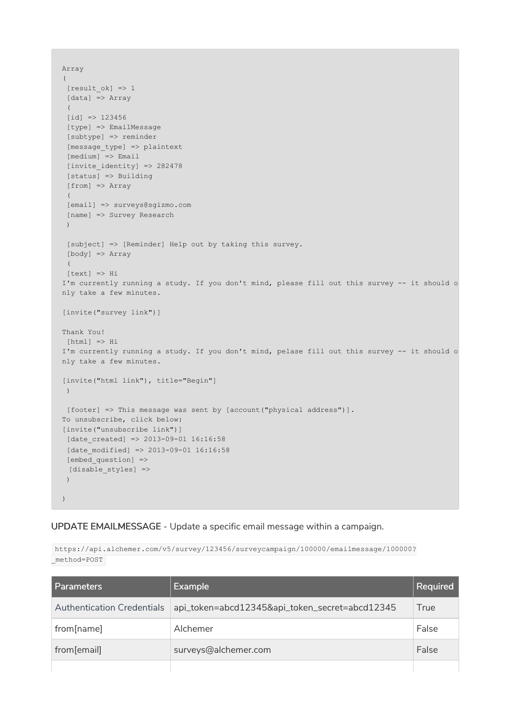```
Array
(
 [result_ok] \Rightarrow 1[data] => Array
 (
 [id] => 123456
 [type] => EmailMessage
 [subtype] => reminder
 [message_type] => plaintext
 [median] \Rightarrow Email[invite_identity] => 282478
 [status] => Building
 [from] => Array
 \left([email] => surveys@sgizmo.com
 [name] => Survey Research
 )
 [subject] => [Reminder] Help out by taking this survey.
 [body] => Array
 (
 [text] => Hi
I'm currently running a study. If you don't mind, please fill out this survey -- it should o
nly take a few minutes.
[invite("survey link")]
Thank You!
[html] => HiI'm currently running a study. If you don't mind, pelase fill out this survey -- it should o
nly take a few minutes.
[invite("html link"), title="Begin"]
)
[footer] => This message was sent by [account("physical address")].
To unsubscribe, click below:
[invite("unsubscribe link")]
[date created] => 2013-09-01 16:16:58
[date modified] \Rightarrow 2013-09-01 16:16:58[embed_question] =>
 [disable_styles] =>
 )
)
```
UPDATE EMAILMESSAGE - Update a specific email message within a campaign.

https://api.alchemer.com/v5/survey/123456/surveycampaign/100000/emailmessage/100000? \_method=POST

| l Parameters                      | <b>Example</b>                                 | Required |
|-----------------------------------|------------------------------------------------|----------|
| <b>Authentication Credentials</b> | api_token=abcd12345&api_token_secret=abcd12345 | True     |
| from[name]                        | Alchemer                                       | False    |
| from[email]                       | surveys@alchemer.com                           | False    |
|                                   |                                                |          |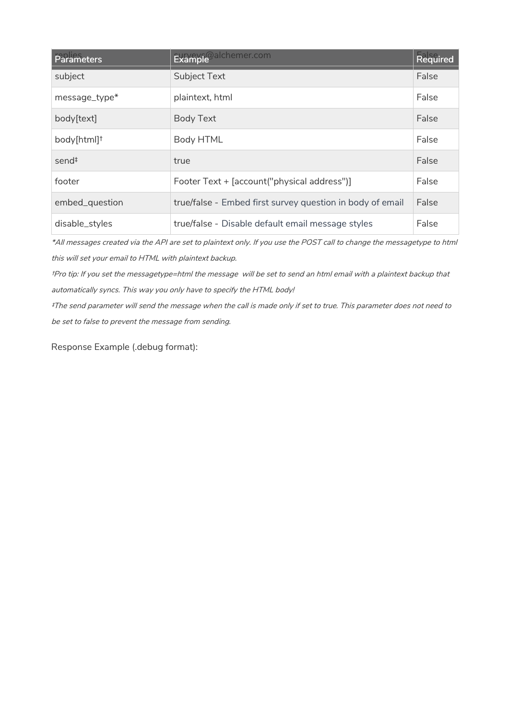| Parameters              | Example <sup>@alchemer.com</sup>                          | Required |
|-------------------------|-----------------------------------------------------------|----------|
| subject                 | <b>Subject Text</b>                                       | False    |
| message_type*           | plaintext, html                                           | False    |
| body[text]              | <b>Body Text</b>                                          | False    |
| body[html] <sup>†</sup> | <b>Body HTML</b>                                          | False    |
| send <sup>#</sup>       | true                                                      | False    |
| footer                  | Footer Text + [account("physical address")]               | False    |
| embed_question          | true/false - Embed first survey question in body of email | False    |
| disable_styles          | true/false - Disable default email message styles         | False    |

\*All messages created via the API are set to plaintext only. If you use the POST call to change the messagetype to html this will set your email to HTML with plaintext backup.

†Pro tip: If you set the messagetype=html the message will be set to send an html email with <sup>a</sup> plaintext backup that automatically syncs. This way you only have to specify the HTML body!

‡The send parameter will send the message when the call is made only if set to true. This parameter does not need to be set to false to prevent the message from sending.